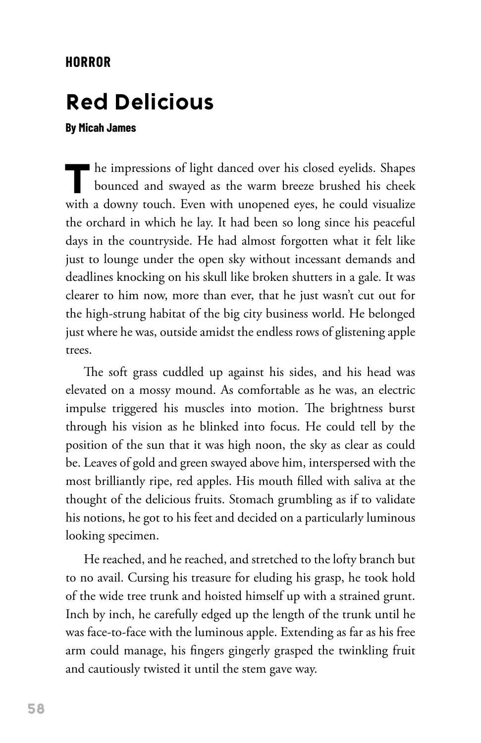## **HORROR**

## **Red Delicious**

## **By Micah James**

The impressions of light danced over his closed eyelids. Shapes bounced and swayed as the warm breeze brushed his cheek with a downy touch. Even with unopened eyes, he could visualize the orchard in which he lay. It had been so long since his peaceful days in the countryside. He had almost forgotten what it felt like just to lounge under the open sky without incessant demands and deadlines knocking on his skull like broken shutters in a gale. It was clearer to him now, more than ever, that he just wasn't cut out for the high-strung habitat of the big city business world. He belonged just where he was, outside amidst the endless rows of glistening apple trees.

The soft grass cuddled up against his sides, and his head was elevated on a mossy mound. As comfortable as he was, an electric impulse triggered his muscles into motion. The brightness burst through his vision as he blinked into focus. He could tell by the position of the sun that it was high noon, the sky as clear as could be. Leaves of gold and green swayed above him, interspersed with the most brilliantly ripe, red apples. His mouth filled with saliva at the thought of the delicious fruits. Stomach grumbling as if to validate his notions, he got to his feet and decided on a particularly luminous looking specimen.

He reached, and he reached, and stretched to the lofty branch but to no avail. Cursing his treasure for eluding his grasp, he took hold of the wide tree trunk and hoisted himself up with a strained grunt. Inch by inch, he carefully edged up the length of the trunk until he was face-to-face with the luminous apple. Extending as far as his free arm could manage, his fingers gingerly grasped the twinkling fruit and cautiously twisted it until the stem gave way.